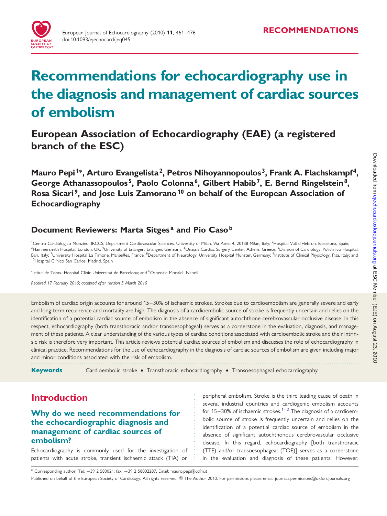

# Recommendations for echocardiography use in the diagnosis and management of cardiac sources of embolism

European Association of Echocardiography (EAE) (a registered branch of the ESC)

Mauro Pepi<sup>1\*</sup>, Arturo Evangelista<sup>2</sup>, Petros Nihoyannopoulos<sup>3</sup>, Frank A. Flachskampf<sup>4</sup>, George Athanassopoulos<sup>5</sup>, Paolo Colonna<sup>6</sup>, Gilbert Habib<sup>7</sup>, E. Bernd Ringelstein<sup>8</sup>, Rosa Sicari<sup>9</sup>, and Jose Luis Zamorano<sup>10</sup> on behalf of the European Association of Echocardiography

## Document Reviewers: Marta Sitges<sup>a</sup> and Pio Caso<sup>b</sup>

<sup>1</sup>Centro Cardiologico Monzino, IRCCS, Department Cardiovascular Sciences, University of Milan, Via Parea 4, 20138 Milan, Italy; <sup>2</sup>Hospital Vall d'Hebron, Barcelona, Spain; <sup>3</sup>Hammersmith Hospital, London, UK; <sup>4</sup>University of Erlangen, Erlangen, Germany; <sup>5</sup>Onassis Cardiac Surgery Center, Athens, Greece; <sup>6</sup>Division of Cardiology, Policlinico Hospital Bari, Italy; <sup>7</sup>University Hospital La Timone, Marseilles, France; <sup>8</sup>Department of Neurology, University Hospital Münster, Germany; <sup>9</sup>Institute of Clinical Physiology, Pisa, Italy; and <sup>10</sup>Hospital Clínico San Carlos, Madrid, Spain

<sup>a</sup>lstitut de Torax, Hospital Clinic Universitat de Barcelona; and <sup>b</sup>Ospedale Monaldi, Napoli

Received 17 February 2010; accepted after revision 5 March 2010

Embolism of cardiac origin accounts for around 15–30% of ischaemic strokes. Strokes due to cardioembolism are generally severe and early and long-term recurrence and mortality are high. The diagnosis of a cardioembolic source of stroke is frequently uncertain and relies on the identification of a potential cardiac source of embolism in the absence of significant autochthone cerebrovascular occlusive disease. In this respect, echocardiography (both transthoracic and/or transoesophageal) serves as a cornerstone in the evaluation, diagnosis, and management of these patients. A clear understanding of the various types of cardiac conditions associated with cardioembolic stroke and their intrinsic risk is therefore very important. This article reviews potential cardiac sources of embolism and discusses the role of echocardiography in clinical practice. Recommendations for the use of echocardiography in the diagnosis of cardiac sources of embolism are given including major and minor conditions associated with the risk of embolism.

----------------------------------------------------------------------------------------------------------------------------------------------------------- Keywords Cardioembolic stroke • Transthoracic echocardiography • Transoesophageal echocardiography

## Introduction

## Why do we need recommendations for the echocardiographic diagnosis and management of cardiac sources of embolism?

Echocardiography is commonly used for the investigation of patients with acute stroke, transient ischaemic attack (TIA) or

peripheral embolism. Stroke is the third leading cause of death in several industrial countries and cardiogenic embolism accounts for [1](#page-13-0)5–[3](#page-13-0)0% of ischaemic strokes.<sup>1–3</sup> The diagnosis of a cardioembolic source of stroke is frequently uncertain and relies on the identification of a potential cardiac source of embolism in the absence of significant autochthonous cerebrovascular occlusive disease. In this regard, echocardiography [both transthoracic (TTE) and/or transoesophageal (TOE)] serves as a cornerstone in the evaluation and diagnosis of these patients. However,

\* Corresponding author. Tel: +39 2 580021; fax: +39 2 58002287, Email: mauro.pepi@ccfm.it

Published on behalf of the European Society of Cardiology. All rights reserved. © The Author 2010. For permissions please email: journals.permissions@oxfordjournals.org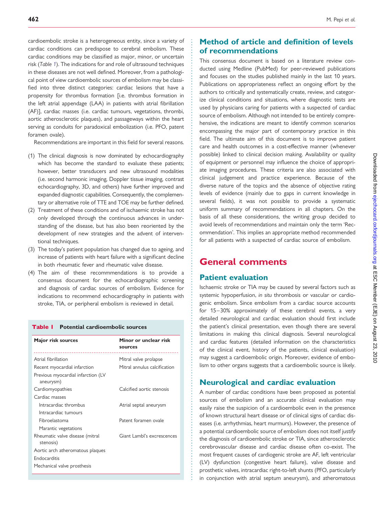cardioembolic stroke is a heterogeneous entity, since a variety of cardiac conditions can predispose to cerebral embolism. These cardiac conditions may be classified as major, minor, or uncertain risk (Table 1). The indications for and role of ultrasound techniques in these diseases are not well defined. Moreover, from a pathological point of view cardioembolic sources of embolism may be classified into three distinct categories: cardiac lesions that have a propensity for thrombus formation [i.e. thrombus formation in the left atrial appendage (LAA) in patients with atrial fibrillation (AF)], cardiac masses (i.e. cardiac tumours, vegetations, thrombi, aortic atherosclerotic plaques), and passageways within the heart serving as conduits for paradoxical embolization (i.e. PFO, patent foramen ovale).

Recommendations are important in this field for several reasons.

- (1) The clinical diagnosis is now dominated by echocardiography which has become the standard to evaluate these patients; however, better transducers and new ultrasound modalities (i.e. second harmonic imaging, Doppler tissue imaging, contrast echocardiography, 3D, and others) have further improved and expanded diagnostic capabilities. Consequently, the complementary or alternative role of TTE and TOE may be further defined.
- (2) Treatment of these conditions and of ischaemic stroke has not only developed through the continuous advances in understanding of the disease, but has also been reoriented by the development of new strategies and the advent of interventional techniques.
- (3) The today's patient population has changed due to ageing, and increase of patients with heart failure with a significant decline in both rheumatic fever and rheumatic valve disease.
- (4) The aim of these recommmendations is to provide a consensus document for the echocardiographic screening and diagnosis of cardiac sources of embolism. Evidence for indications to recommend echocardiography in patients with stroke, TIA, or peripheral embolism is reviewed in detail.

#### Table 1 Potential cardioembolic sources

| Major risk sources                              | Minor or unclear risk<br>sources |  |
|-------------------------------------------------|----------------------------------|--|
| Atrial fibrillation                             | Mitral valve prolapse            |  |
| Recent myocardial infarction                    | Mitral annulus calcification     |  |
| Previous myocardial infarction (LV<br>aneurysm) |                                  |  |
| Cardiomyopathies                                | Calcified aortic stenosis        |  |
| Cardiac masses                                  |                                  |  |
| Intracardiac thrombus                           | Atrial septal aneurysm           |  |
| Intracardiac tumours                            |                                  |  |
| Fibroelastoma                                   | Patent foramen ovale             |  |
| Marantic vegetations                            |                                  |  |
| Rheumatic valve disease (mitral<br>stenosis)    | Giant Lambl's excrescences       |  |
| Aortic arch atheromatous plaques                |                                  |  |
| Endocarditis                                    |                                  |  |
| Mechanical valve prosthesis                     |                                  |  |

## Method of article and definition of levels of recommendations

This consensus document is based on a literature review conducted using Medline (PubMed) for peer-reviewed publications and focuses on the studies published mainly in the last 10 years. Publications on appropriateness reflect an ongoing effort by the authors to critically and systematically create, review, and categorize clinical conditions and situations, where diagnostic tests are used by physicians caring for patients with a suspected of cardiac source of embolism. Although not intended to be entirely comprehensive, the indications are meant to identify common scenarios encompassing the major part of contemporary practice in this field. The ultimate aim of this document is to improve patient care and health outcomes in a cost-effective manner (whenever possible) linked to clinical decision making. Availability or quality of equipment or personnel may influence the choice of appropriate imaging procedures. These criteria are also associated with clinical judgement and practice experience. Because of the diverse nature of the topics and the absence of objective rating levels of evidence (mainly due to gaps in current knowledge in several fields), it was not possible to provide a systematic uniform summary of recommendations in all chapters. On the basis of all these considerations, the writing group decided to avoid levels of recommendations and maintain only the term 'Recommendation'. This implies an appropriate method recommended for all patients with a suspected of cardiac source of embolism.

## General comments

### Patient evaluation

Ischaemic stroke or TIA may be caused by several factors such as systemic hypoperfusion, in situ thrombosis or vascular or cardiogenic embolism. Since embolism from a cardiac source accounts for 15–30% approximately of these cerebral events, a very detailed neurological and cardiac evaluation should first include the patient's clinical presentation, even though there are several limitations in making this clinical diagnosis. Several neurological and cardiac features (detailed information on the characteristics of the clinical event, history of the patients, clinical evaluation) may suggest a cardioembolic origin. Moreover, evidence of embolism to other organs suggests that a cardioembolic source is likely.

#### Neurological and cardiac evaluation

A number of cardiac conditions have been proposed as potential sources of embolism and an accurate clinical evaluation may easily raise the suspicion of a cardioembolic even in the presence of known structural heart disease or of clinical signs of cardiac diseases (i.e. arrhythmias, heart murmurs). However, the presence of a potential cardioembolic source of embolism does not itself justify the diagnosis of cardioembolic stroke or TIA, since atherosclerotic cerebrovascular disease and cardiac disease often co-exist. The most frequent causes of cardiogenic stroke are AF, left ventricular (LV) dysfunction (congestive heart failure), valve disease and prosthetic valves, intracardiac right-to-left shunts (PFO, particularly in conjunction with atrial septum aneurysm), and atheromatous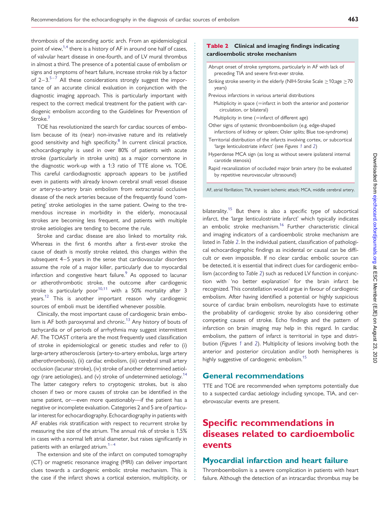thrombosis of the ascending aortic arch. From an epidemiological point of view,  $1,4$  there is a history of AF in around one half of cases, of valvular heart disease in one-fourth, and of LV mural thrombus in almost a third. The presence of a potential cause of embolism or signs and symptoms of heart failure, increase stroke risk by a factor of  $2-3.5-7$  $2-3.5-7$  $2-3.5-7$  $2-3.5-7$  All these considerations strongly suggest the importance of an accurate clinical evaluation in conjunction with the diagnostic imaging approach. This is particularly important with respect to the correct medical treatment for the patient with cardiogenic embolism according to the Guidelines for Prevention of Stroke<sup>3</sup>

TOE has revolutionized the search for cardiac sources of embolism because of its (near) non-invasive nature and its relatively good sensitivity and high specificity.<sup>[8](#page-13-0)</sup> In current clinical practice, echocardiography is used in over 80% of patients with acute stroke (particularly in stroke units) as a major cornerstone in the diagnostic work-up with a 1:3 ratio of TTE alone vs. TOE. This careful cardiodiagnostic approach appears to be justified even in patients with already known cerebral small vessel disease or artery-to-artery brain embolism from extracranial occlusive disease of the neck arteries because of the frequently found 'competing' stroke aetiologies in the same patient. Owing to the tremendous increase in morbidity in the elderly, monocausal strokes are becoming less frequent, and patients with multiple stroke aetiologies are tending to become the rule.

Stroke and cardiac disease are also linked to mortality risk. Whereas in the first 6 months after a first-ever stroke the cause of death is mostly stroke related, this changes within the subsequent 4–5 years in the sense that cardiovascular disorders assume the role of a major killer, particularly due to myocardial infarction and congestive heart failure. $9$  As opposed to lacunar or atherothrombotic stroke, the outcome after cardiogenic stroke is particularly poor<sup>[10,11](#page-13-0)</sup> with a 50% mortality after 3 years[.12](#page-13-0) This is another important reason why cardiogenic sources of emboli must be identified whenever possible.

Clinically, the most important cause of cardiogenic brain embo-lism is AF both paroxysmal and chronic.<sup>[13](#page-13-0)</sup> Any history of bouts of tachycardia or of periods of arrhythmia may suggest intermittent AF. The TOAST criteria are the most frequently used classification of stroke in epidemiological or genetic studies and refer to (i) large-artery atherosclerosis (artery-to-artery embolus, large artery atherothrombosis), (ii) cardiac embolism, (iii) cerebral small artery occlusion (lacunar stroke), (iv) stroke of another determined aetiology (rare aetiologies), and (v) stroke of undetermined aetiology.<sup>14</sup> The latter category refers to cryptogenic strokes, but is also chosen if two or more causes of stroke can be identified in the same patient, or—even more questionably—if the patient has a negative or incomplete evaluation. Categories 2 and 5 are of particular interest for echocardiography. Echocardiography in patients with AF enables risk stratification with respect to recurrent stroke by measuring the size of the atrium. The annual risk of stroke is 1.5% in cases with a normal left atrial diameter, but raises significantly in patients with an enlarged atrium. $1 - 4$  $1 - 4$  $1 - 4$ 

The extension and site of the infarct on computed tomography (CT) or magnetic resonance imaging (MRI) can deliver important clues towards a cardiogenic embolic stroke mechanism. This is the case if the infarct shows a cortical extension, multiplicity, or

#### Table 2 Clinical and imaging findings indicating cardioembolic stroke mechanism

- Abrupt onset of stroke symptoms, particularly in AF with lack of preceding TIA and severe first-ever stroke.
- Striking stroke severity in the elderly (NIH-Stroke Scale  $\geq$  10;age  $\geq$  70 years)
- Previous infarctions in various arterial distributions
- Multiplicity in space ( $=$ infarct in both the anterior and posterior circulation, or bilateral)
- Multiplicity in time  $(=\text{infarct of different age})$
- Other signs of systemic thromboembolism (e.g. edge-shaped infarctions of kidney or spleen; Osler splits; Blue toe-syndrome)
- Territorial distribution of the infarcts involving cortex, or subcortical 'large lenticulostriate infarct' (see Figures [1](#page-3-0) and [2](#page-3-0))
- Hyperdense MCA sign (as long as without severe ipsilateral internal carotide stenosis)
- Rapid recanalization of occluded major brain artery (to be evaluated by repetitive neurovascular ultrasound)

AF, atrial fibrillation; TIA, transient ischemic attack; MCA, middle cerebral artery.

bilaterality.<sup>[15](#page-13-0)</sup> But there is also a specific type of subcortical infarct, the 'large lenticulostriate infarct' which typically indicates an embolic stroke mechanism.<sup>16</sup> Further characteristic clinical and imaging indicators of a cardioembolic stroke mechanism are listed in Table 2. In the individual patient, classification of pathological echocardiographic findings as incidental or causal can be difficult or even impossible. If no clear cardiac embolic source can be detected, it is essential that indirect clues for cardiogenic embolism (according to Table 2) such as reduced LV function in conjunction with 'no better explanation' for the brain infarct be recognized. This constellation would argue in favour of cardiogenic embolism. After having identified a potential or highly suspicious source of cardiac brain embolism, neurologists have to estimate the probability of cardiogenic stroke by also considering other competing causes of stroke. Echo findings and the pattern of infarction on brain imaging may help in this regard. In cardiac embolism, the pattern of infarct is territorial in type and distribution (Figures [1](#page-3-0) and [2](#page-3-0)). Multiplicity of lesions involving both the anterior and posterior circulation and/or both hemispheres is highly suggestive of cardiogenic embolism.<sup>[15](#page-13-0)</sup>

#### General recommendations

TTE and TOE are recommended when symptoms potentially due to a suspected cardiac aetiology including syncope, TIA, and cerebrovascular events are present.

## Specific recommendations in diseases related to cardioembolic events

#### Myocardial infarction and heart failure

Thromboembolism is a severe complication in patients with heart failure. Although the detection of an intracardiac thrombus may be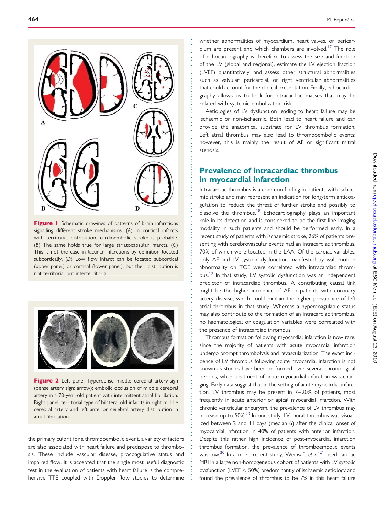<span id="page-3-0"></span>

Figure I Schematic drawings of patterns of brain infarctions signalling different stroke mechanisms. (A) In cortical infarcts with territorial distribution, cardioembolic stroke is probable. (B) The same holds true for large striatocapsular infarcts. (C) This is not the case in lacunar infarctions by definition located subcortically. (D) Low flow infarct can be located subcortical (upper panel) or cortical (lower panel), but their distribution is not territorial but interterritorial.



Figure 2 Left panel: hyperdense middle cerebral artery-sign (dense artery sign; arrow): embolic occlusion of middle cerebral artery in a 70-year-old patient with intermittent atrial fibrillation. Right panel: territorial type of bilateral old infarcts in right middle cerebral artery and left anterior cerebral artery distribution in atrial fibrillation.

the primary culprit for a thromboembolic event, a variety of factors are also associated with heart failure and predispose to thrombosis. These include vascular disease, procoagulative status and impaired flow. It is accepted that the single most useful diagnostic test in the evaluation of patients with heart failure is the comprehensive TTE coupled with Doppler flow studies to determine

whether abnormalities of myocardium, heart valves, or pericar-dium are present and which chambers are involved.<sup>[17](#page-13-0)</sup> The role of echocardiography is therefore to assess the size and function of the LV (global and regional), estimate the LV ejection fraction (LVEF) quantitatively, and assess other structural abnormalities such as valvular, pericardial, or right ventricular abnormalities that could account for the clinical presentation. Finally, echocardiography allows us to look for intracardiac masses that may be related with systemic embolization risk.

Aetiologies of LV dysfunction leading to heart failure may be ischaemic or non-ischaemic. Both lead to heart failure and can provide the anatomical substrate for LV thrombus formation. Left atrial thrombus may also lead to thromboembolic events; however, this is mainly the result of AF or significant mitral stenosis.

## Prevalence of intracardiac thrombus in myocardial infarction

Intracardiac thrombus is a common finding in patients with ischaemic stroke and may represent an indication for long-term anticoagulation to reduce the threat of further stroke and possibly to dissolve the thrombus.<sup>[18](#page-13-0)</sup> Echocardiography plays an important role in its detection and is considered to be the first-line imaging modality in such patients and should be performed early. In a recent study of patients with ischaemic stroke, 26% of patients presenting with cerebrovascular events had an intracardiac thrombus, 70% of which were located in the LAA. Of the cardiac variables, only AF and LV systolic dysfunction manifested by wall motion abnormality on TOE were correlated with intracardiac throm-bus.<sup>[19](#page-13-0)</sup> In that study, LV systolic dysfunction was an independent predictor of intracardiac thrombus. A contributing causal link might be the higher incidence of AF in patients with coronary artery disease, which could explain the higher prevalence of left atrial thrombus in that study. Whereas a hypercoagulable status may also contribute to the formation of an intracardiac thrombus, no haematological or coagulation variables were correlated with the presence of intracardiac thrombus.

Thrombus formation following myocardial infarction is now rare, since the majority of patients with acute myocardial infarction undergo prompt thrombolysis and revascularization. The exact incidence of LV thrombus following acute myocardial infarction is not known as studies have been performed over several chronological periods, while treatment of acute myocardial infarction was changing. Early data suggest that in the setting of acute myocardial infarction, LV thrombus may be present in 7–20% of patients, most frequently in acute anterior or apical myocardial infarction. With chronic ventricular aneurysm, the prevalence of LV thrombus may increase up to  $50\%$ <sup>20</sup> In one study, LV mural thrombus was visualized between 2 and 11 days (median 6) after the clinical onset of myocardial infarction in 40% of patients with anterior infarction. Despite this rather high incidence of post-myocardial infarction thrombus formation, the prevalence of thromboembolic events was low.<sup>[20](#page-13-0)</sup> In a more recent study, Weinsaft et  $al^{21}$  $al^{21}$  $al^{21}$  used cardiac MRI in a large non-homogeneous cohort of patients with LV systolic dysfunction (LVEF  $<$  50%) predominantly of ischaemic aetiology and found the prevalence of thrombus to be 7% in this heart failure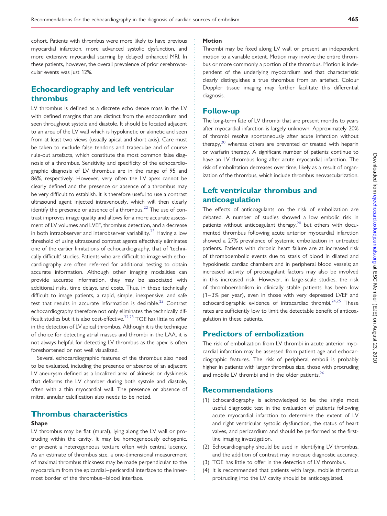cohort. Patients with thrombus were more likely to have previous myocardial infarction, more advanced systolic dysfunction, and more extensive myocardial scarring by delayed enhanced MRI. In these patients, however, the overall prevalence of prior cerebrovascular events was just 12%.

## Echocardiography and left ventricular thrombus

LV thrombus is defined as a discrete echo dense mass in the LV with defined margins that are distinct from the endocardium and seen throughout systole and diastole. It should be located adjacent to an area of the LV wall which is hypokinetic or akinetic and seen from at least two views (usually apical and short axis). Care must be taken to exclude false tendons and trabeculae and of course rule-out artefacts, which constitute the most common false diagnosis of a thrombus. Sensitivity and specificity of the echocardiographic diagnosis of LV thrombus are in the range of 95 and 86%, respectively. However, very often the LV apex cannot be clearly defined and the presence or absence of a thrombus may be very difficult to establish. It is therefore useful to use a contrast ultrasound agent injected intravenously, which will then clearly identify the presence or absence of a thrombus.<sup>22</sup> The use of contrast improves image quality and allows for a more accurate assessment of LV volumes and LVEF, thrombus detection, and a decrease in both intraobserver and interobserver variability.<sup>[23](#page-13-0)</sup> Having a low threshold of using ultrasound contrast agents effectively eliminates one of the earlier limitations of echocardiography, that of 'technically difficult' studies. Patients who are difficult to image with echocardiography are often referred for additional testing to obtain accurate information. Although other imaging modalities can provide accurate information, they may be associated with additional risks, time delays, and costs. Thus, in these technically difficult to image patients, a rapid, simple, inexpensive, and safe test that results in accurate information is desirable. $^{23}$  $^{23}$  $^{23}$  Contrast echocardiography therefore not only eliminates the technically difficult studies but it is also cost-effective.<sup>22,23</sup> TOE has little to offer in the detection of LV apical thrombus. Although it is the technique of choice for detecting atrial masses and thrombi in the LAA, it is not always helpful for detecting LV thrombus as the apex is often foreshortened or not well visualized.

Several echocardiographic features of the thrombus also need to be evaluated, including the presence or absence of an adjacent LV aneurysm defined as a localized area of akinesis or dyskinesis that deforms the LV chamber during both systole and diastole, often with a thin myocardial wall. The presence or absence of mitral annular calcification also needs to be noted.

### Thrombus characteristics

#### **Shape**

LV thrombus may be flat (mural), lying along the LV wall or protruding within the cavity. It may be homogeneously echogenic, or present a heterogeneous texture often with central lucency. As an estimate of thrombus size, a one-dimensional measurement of maximal thrombus thickness may be made perpendicular to the myocardium from the epicardial–pericardial interface to the innermost border of the thrombus–blood interface.

#### Motion

Thrombi may be fixed along LV wall or present an independent motion to a variable extent. Motion may involve the entire thrombus or more commonly a portion of the thrombus. Motion is independent of the underlying myocardium and that characteristic clearly distinguishes a true thrombus from an artefact. Colour Doppler tissue imaging may further facilitate this differential diagnosis.

#### Follow-up

The long-term fate of LV thrombi that are present months to years after myocardial infarction is largely unknown. Approximately 20% of thrombi resolve spontaneously after acute infarction without therapy, $20$  whereas others are prevented or treated with heparin or warfarin therapy. A significant number of patients continue to have an LV thrombus long after acute myocardial infarction. The risk of embolization decreases over time, likely as a result of organization of the thrombus, which include thrombus neovascularization.

### Left ventricular thrombus and anticoagulation

The effects of anticoagulants on the risk of embolization are debated. A number of studies showed a low embolic risk in patients without anticoagulant therapy, $20$  but others with documented thrombus following acute anterior myocardial infarction showed a 27% prevalence of systemic embolization in untreated patients. Patients with chronic heart failure are at increased risk of thromboembolic events due to stasis of blood in dilated and hypokinetic cardiac chambers and in peripheral blood vessels; an increased activity of procoagulant factors may also be involved in this increased risk. However, in large-scale studies, the risk of thromboembolism in clinically stable patients has been low (1–3% per year), even in those with very depressed LVEF and echocardiographic evidence of intracardiac thrombi. $24,25$  These rates are sufficiently low to limit the detectable benefit of anticoagulation in these patients.

### Predictors of embolization

The risk of embolization from LV thrombi in acute anterior myocardial infarction may be assessed from patient age and echocardiographic features. The risk of peripheral emboli is probably higher in patients with larger thrombus size, those with protruding and mobile LV thrombi and in the older patients.<sup>26</sup>

#### Recommendations

- (1) Echocardiography is acknowledged to be the single most useful diagnostic test in the evaluation of patients following acute myocardial infarction to determine the extent of LV and right ventricular systolic dysfunction, the status of heart valves, and pericardium and should be performed as the firstline imaging investigation.
- (2) Echocardiography should be used in identifying LV thrombus, and the addition of contrast may increase diagnostic accuracy.
- (3) TOE has little to offer in the detection of LV thrombus.
- (4) It is recommended that patients with large, mobile thrombus protruding into the LV cavity should be anticoagulated.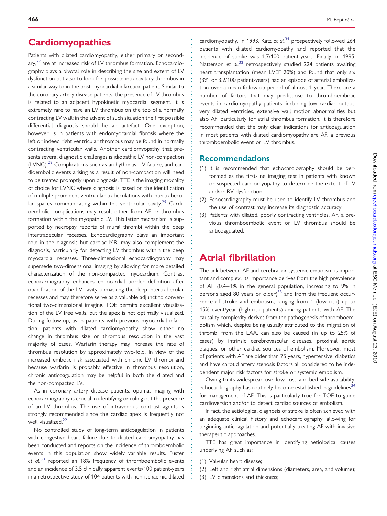## Cardiomyopathies

Patients with dilated cardiomyopathy, either primary or second $ary, <sup>27</sup>$  are at increased risk of LV thrombus formation. Echocardiography plays a pivotal role in describing the size and extent of LV dysfunction but also to look for possible intracavitary thrombus in a similar way to in the post-myocardial infarction patient. Similar to the coronary artery disease patients, the presence of LV thrombus is related to an adjacent hypokinetic myocardial segment. It is extremely rare to have an LV thrombus on the top of a normally contracting LV wall; in the advent of such situation the first possible differential diagnosis should be an artefact. One exception, however, is in patients with endomyocardial fibrosis where the left or indeed right ventricular thrombus may be found in normally contracting ventricular walls. Another cardiomyopathy that presents several diagnostic challenges is idiopathic LV non-compaction (LVNC).<sup>[28](#page-13-0)</sup> Complications such as arrhythmias, LV failure, and cardioembolic events arising as a result of non-compaction will need to be treated promptly upon diagnosis. TTE is the imaging modality of choice for LVNC where diagnosis is based on the identification of multiple prominent ventricular trabeculations with intertrabecular spaces communicating within the ventricular cavity.<sup>29</sup> Cardioembolic complications may result either from AF or thrombus formation within the myopathic LV. This latter mechanism is supported by necropsy reports of mural thrombi within the deep intertrabecular recesses. Echocardiography plays an important role in the diagnosis but cardiac MRI may also complement the diagnosis, particularly for detecting LV thrombus within the deep myocardial recesses. Three-dimensional echocardiography may supersede two-dimensional imaging by allowing for more detailed characterization of the non-compacted myocardium. Contrast echocardiography enhances endocardial border definition after opacification of the LV cavity unmasking the deep intertrabecular recesses and may therefore serve as a valuable adjunct to conventional two-dimensional imaging. TOE permits excellent visualization of the LV free walls, but the apex is not optimally visualized. During follow-up, as in patients with previous myocardial infarction, patients with dilated cardiomyopathy show either no change in thrombus size or thrombus resolution in the vast majority of cases. Warfarin therapy may increase the rate of thrombus resolution by approximately two-fold. In view of the increased embolic risk associated with chronic LV thrombi and because warfarin is probably effective in thrombus resolution, chronic anticoagulation may be helpful in both the dilated and the non-compacted LV.

As in coronary artery disease patients, optimal imaging with echocardiography is crucial in identifying or ruling out the presence of an LV thrombus. The use of intravenous contrast agents is strongly recommended since the cardiac apex is frequently not well visualized.<sup>[22](#page-13-0)</sup>

No controlled study of long-term anticoagulation in patients with congestive heart failure due to dilated cardiomyopathy has been conducted and reports on the incidence of thromboembolic events in this population show widely variable results. Fuster et  $al.^{30}$  $al.^{30}$  $al.^{30}$  reported an 18% frequency of thromboembolic events and an incidence of 3.5 clinically apparent events/100 patient-years in a retrospective study of 104 patients with non-ischaemic dilated

cardiomyopathy. In 1993, Katz et  $al.^{31}$  $al.^{31}$  $al.^{31}$  prospectively followed 264 patients with dilated cardiomyopathy and reported that the incidence of stroke was 1.7/100 patient-years. Finally, in 1995, Natterson et  $al^{32}$  $al^{32}$  $al^{32}$  retrospectively studied 224 patients awaiting heart transplantation (mean LVEF 20%) and found that only six (3%, or 3.2/100 patient-years) had an episode of arterial embolization over a mean follow-up period of almost 1 year. There are a number of factors that may predispose to thromboembolic events in cardiomyopathy patients, including low cardiac output, very dilated ventricles, extensive wall motion abnormalities but also AF, particularly for atrial thrombus formation. It is therefore recommended that the only clear indications for anticoagulation in most patients with dilated cardiomyopathy are AF, a previous thromboembolic event or LV thrombus.

### Recommendations

- (1) It is recommended that echocardiography should be performed as the first-line imaging test in patients with known or suspected cardiomyopathy to determine the extent of LV and/or RV dysfunction.
- (2) Echocardiography must be used to identify LV thrombus and the use of contrast may increase its diagnostic accuracy.
- (3) Patients with dilated, poorly contracting ventricles, AF, a previous thromboembolic event or LV thrombus should be anticoagulated.

## Atrial fibrillation

The link between AF and cerebral or systemic embolism is important and complex. Its importance derives from the high prevalence of AF (0.4–1% in the general population, increasing to 9% in persons aged 80 years or older) $33$  and from the frequent occurrence of stroke and embolism, ranging from 1 (low risk) up to 15% event/year (high-risk patients) among patients with AF. The causality complexity derives from the pathogenesis of thromboembolism which, despite being usually attributed to the migration of thrombi from the LAA, can also be caused (in up to 25% of cases) by intrinsic cerebrovascular diseases, proximal aortic plaques, or other cardiac sources of embolism. Moreover, most of patients with AF are older than 75 years, hypertensive, diabetics and have carotid artery stenosis factors all considered to be independent major risk factors for stroke or systemic embolism.

Owing to its widespread use, low cost, and bed-side availability, echocardiography has routinely become established in guidelines<sup>[34](#page-13-0)</sup> for management of AF. This is particularly true for TOE to guide cardioversion and/or to detect cardiac sources of embolism.

In fact, the aetiological diagnosis of stroke is often achieved with an adequate clinical history and echocardiography, allowing for beginning anticoagulation and potentially treating AF with invasive therapeutic approaches.

TTE has great importance in identifying aetiological causes underlying AF such as:

- (1) Valvular heart disease;
- (2) Left and right atrial dimensions (diameters, area, and volume);
- (3) LV dimensions and thickness;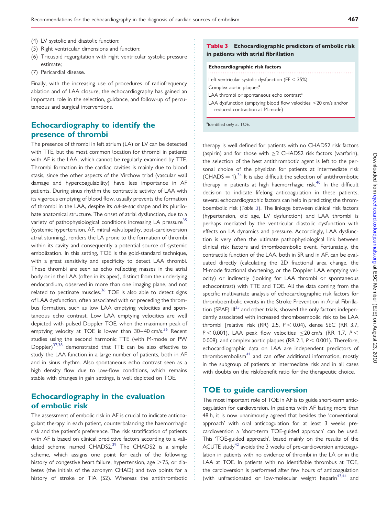- (4) LV systolic and diastolic function;
- (5) Right ventricular dimensions and function;
- (6) Tricuspid regurgitation with right ventricular systolic pressure estimate;
- (7) Pericardial disease.

Finally, with the increasing use of procedures of radiofrequency ablation and of LAA closure, the echocardiography has gained an important role in the selection, guidance, and follow-up of percutaneous and surgical interventions.

### Echocardiography to identify the presence of thrombi

The presence of thrombi in left atrium (LA) or LV can be detected with TTE, but the most common location for thrombi in patients with AF is the LAA, which cannot be regularly examined by TTE. Thrombi formation in the cardiac cavities is mainly due to blood stasis, since the other aspects of the Virchow triad (vascular wall damage and hypercoagulability) have less importance in AF patients. During sinus rhythm the contractile activity of LAA with its vigorous emptying of blood flow, usually prevents the formation of thrombi in the LAA, despite its cul-de-sac shape and its plurilobate anatomical structure. The onset of atrial dysfunction, due to a variety of pathophysiological conditions increasing LA pressure<sup>35</sup> (systemic hypertension, AF, mitral valvulopathy, post-cardioversion atrial stunning), renders the LA prone to the formation of thrombi within its cavity and consequently a potential source of systemic embolization. In this setting, TOE is the gold-standard technique, with a great sensitivity and specificity to detect LAA thrombi. These thrombi are seen as echo reflecting masses in the atrial body or in the LAA (often in its apex), distinct from the underlying endocardium, observed in more than one imaging plane, and not related to pectinate muscles. $36$  TOE is also able to detect signs of LAA dysfunction, often associated with or preceding the thrombus formation, such as low LAA emptying velocities and spontaneous echo contrast. Low LAA emptying velocities are well depicted with pulsed Doppler TOE, when the maximum peak of emptying velocity at TOE is lower than  $30-40$  cm/s.<sup>36</sup> Recent studies using the second harmonic TTE (with M-mode or PW Doppler)[37](#page-13-0),[38](#page-14-0) demonstrated that TTE can be also effective to study the LAA function in a large number of patients, both in AF and in sinus rhythm. Also spontaneous echo contrast seen as a high density flow due to low-flow conditions, which remains stable with changes in gain settings, is well depicted on TOE.

### Echocardiography in the evaluation of embolic risk

The assessment of embolic risk in AF is crucial to indicate anticoagulant therapy in each patient, counterbalancing the haemorrhagic risk and the patient's preference. The risk stratification of patients with AF is based on clinical predictive factors according to a vali-dated scheme named CHADS2.<sup>[39](#page-14-0)</sup> The CHADS2 is a simple scheme, which assigns one point for each of the following: history of congestive heart failure, hypertension, age  $>75$ , or diabetes (the initials of the acronym CHAD) and two points for a history of stroke or TIA (S2). Whereas the antithrombotic

#### Table 3 Echocardiographic predictors of embolic risk in patients with atrial fibrillation

#### Echocardiographic risk factors

| Left ventricular systolic dysfunction ( $EF < 35\%$ )                                                   |  |
|---------------------------------------------------------------------------------------------------------|--|
| Complex aortic plaques <sup>a</sup>                                                                     |  |
| LAA thrombi or spontaneous echo contrast <sup>a</sup>                                                   |  |
| LAA dysfunction (emptying blood flow velocities $\leq$ 20 cm/s and/or<br>reduced contraction at M-mode) |  |
|                                                                                                         |  |

aldentified only at TOE.

therapy is well defined for patients with no CHADS2 risk factors (aspirin) and for those with  $\geq$  CHADS2 risk factors (warfarin), the selection of the best antithrombotic agent is left to the personal choice of the physician for patients at intermediate risk (CHADS = 1).<sup>[34](#page-13-0)</sup> It is also difficult the selection of antithrombotic therapy in patients at high haemorrhagic risk.<sup>[40](#page-14-0)</sup> In the difficult decision to indicate lifelong anticoagulation in these patients, several echocardiographic factors can help in predicting the thromboembolic risk (Table 3). The linkage between clinical risk factors (hypertension, old age, LV dysfunction) and LAA thrombi is perhaps mediated by the ventricular diastolic dysfunction with effects on LA dynamics and pressure. Accordingly, LAA dysfunction is very often the ultimate pathophysiological link between clinical risk factors and thromboembolic event. Fortunately, the contractile function of the LAA, both in SR and in AF, can be evaluated directly (calculating the 2D fractional area change, the M-mode fractional shortening, or the Doppler LAA emptying velocity) or indirectly (looking for LAA thrombi or spontaneous echocontrast) with TTE and TOE. All the data coming from the specific multivariate analysis of echocardiographic risk factors for thromboembolic events in the Stroke Prevention in Atrial Fibrillation (SPAF)  $III^{35}$  and other trials, showed the only factors independently associated with increased thromboembolic risk to be LAA thrombi [relative risk (RR) 2.5,  $P < 0.04$ ), dense SEC (RR 3.7,  $P < 0.001$ ), LAA peak flow velocities  $\leq 20$  cm/s (RR 1.7, P < 0.008), and complex aortic plaques (RR 2.1,  $P < 0.001$ ). Therefore, echocardiographic data on LAA are independent predictors of thromboembolism $41$  and can offer additional information, mostly in the subgroup of patients at intermediate risk and in all cases with doubts on the risk/benefit ratio for the therapeutic choice.

#### TOE to guide cardioversion

The most important role of TOE in AF is to guide short-term anticoagulation for cardioversion. In patients with AF lasting more than 48 h, it is now unanimously agreed that besides the 'conventional approach' with oral anticoagulation for at least 3 weeks precardioversion a 'short-term TOE-guided approach' can be used. This 'TOE-guided approach', based mainly on the results of the ACUTE study<sup>42</sup> avoids the 3 weeks of pre-cardioversion anticoagulation in patients with no evidence of thrombi in the LA or in the LAA at TOE. In patients with no identifiable thrombus at TOE, the cardioversion is performed after few hours of anticoagulation (with unfractionated or low-molecular weight heparin<sup>43,44</sup> and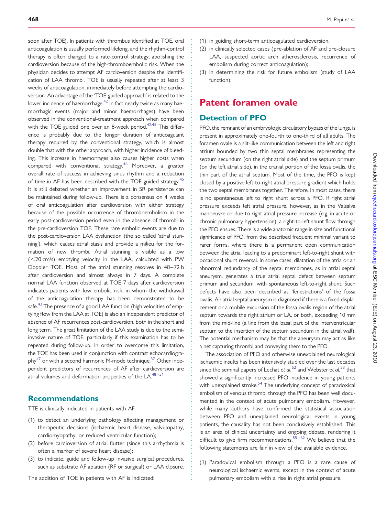soon after TOE). In patients with thrombus identified at TOE, oral anticoagulation is usually performed lifelong, and the rhythm-control therapy is often changed to a rate-control strategy, abolishing the cardioversion because of the high-thromboembolic risk. When the physician decides to attempt AF cardioversion despite the identification of LAA thrombi, TOE is usually repeated after at least 3 weeks of anticoagulation, immediately before attempting the cardioversion. An advantage of the 'TOE-guided approach' is related to the lower incidence of haemorrhage.<sup>42</sup> In fact nearly twice as many haemorrhagic events (major and minor haemorrhages) have been observed in the conventional-treatment approach when compared with the TOE guided one over an 8-week period. $42,45$  This difference is probably due to the longer duration of anticoagulant therapy required by the conventional strategy, which is almost double that with the other approach, with higher incidence of bleeding. This increase in haemorrages also causes higher costs when compared with conventional strategy.<sup>[46](#page-14-0)</sup> Moreover, a greater overall rate of success in achieving sinus rhythm and a reduction of time in AF has been described with the TOE guided strategy.<sup>[45](#page-14-0)</sup> It is still debated whether an improvement in SR persistence can be maintained during follow-up. There is a consensus on 4 weeks of oral anticoagulation after cardioversion with either strategy because of the possible occurrence of thromboembolism in the early post-cardioversion period even in the absence of thrombi in the pre-cardioversion TOE. These rare embolic events are due to the post-cardioversion LAA dysfunction (the so called 'atrial stunning'), which causes atrial stasis and provide a milieu for the formation of new thrombi. Atrial stunning is visible as a low  $(<$ 20 cm/s) emptying velocity in the LAA, calculated with PW Doppler TOE. Most of the atrial stunning resolves in 48–72 h after cardioversion and almost always in 7 days. A complete normal LAA function observed at TOE 7 days after cardioversion indicates patients with low embolic risk, in whom the withdrawal of the anticoagulation therapy has been demonstrated to be safe.<sup>43</sup> The presence of a good LAA function (high velocities of emptying flow from the LAA at TOE) is also an independent predictor of absence of AF recurrences post-cardioversion, both in the short and long term. The great limitation of the LAA study is due to the semiinvasive nature of TOE, particularly if this examination has to be repeated during follow-up. In order to overcome this limitation, the TOE has been used in conjunction with contrast echocardiogra $phy^{47}$  or with a second harmonic M-mode technique.<sup>37</sup> Other independent predictors of recurrences of AF after cardioversion are atrial volumes and deformation properties of the  $LA^{48-51}$  $LA^{48-51}$  $LA^{48-51}$  $LA^{48-51}$  $LA^{48-51}$ 

#### Recommendations

TTE is clinically indicated in patients with AF

- (1) to detect an underlying pathology affecting management or therapeutic decisions (ischaemic heart disease, valvulopathy, cardiomyopathy, or reduced ventricular function);
- (2) before cardioversion of atrial flutter (since this arrhythmia is often a marker of severe heart disease);
- (3) to indicate, guide and follow-up invasive surgical procedures, such as substrate AF ablation (RF or surgical) or LAA closure.

The addition of TOE in patients with AF is indicated:

- (1) in guiding short-term anticoagulated cardioversion.
- (2) in clinically selected cases (pre-ablation of AF and pre-closure LAA, suspected aortic arch atherosclerosis, recurrence of embolism during correct anticoagulation);
- (3) in determining the risk for future embolism (study of LAA function);

## Patent foramen ovale

### Detection of PFO

PFO, the remnant of an embryologic circulatory bypass of the lungs, is present in approximately one-fourth to one-third of all adults. The foramen ovale is a slit-like communication between the left and right atrium bounded by two thin septal membranes representing the septum secundum (on the right atrial side) and the septum primum (on the left atrial side), in the cranial portion of the fossa ovalis, the thin part of the atrial septum. Most of the time, the PFO is kept closed by a positive left-to-right atrial pressure gradient which holds the two septal membranes together. Therefore, in most cases, there is no spontaneous left to right shunt across a PFO. If right atrial pressure exceeds left atrial pressure, however, as in the Valsalva manoeuvre or due to right atrial pressure increase (e.g. in acute or chronic pulmonary hypertension), a right-to-left shunt flow through the PFO ensues. There is a wide anatomic range in size and functional significance of PFO, from the described frequent minimal variant to rarer forms, where there is a permanent open communication between the atria, leading to a predominant left-to-right shunt with occasional shunt reversal. In some cases, dilatation of the atria or an abnormal redundancy of the septal membranes, as in atrial septal aneurysm, generates a true atrial septal defect between septum primum and secundum, with spontaneous left-to-right shunt. Such defects have also been described as 'fenestrations' of the fossa ovalis. An atrial septal aneurysm is diagnosed if there is a fixed displacement or a mobile excursion of the fossa ovalis region of the atrial septum towards the right atrium or LA, or both, exceeding 10 mm from the mid-line (a line from the basal part of the interventricular septum to the insertion of the septum secundum in the atrial wall). The potential mechanism may be that the aneurysm may act as like a net capturing thrombi and conveying them to the PFO.

The association of PFO and otherwise unexplained neurological ischaemic insults has been intensively studied over the last decades since the seminal papers of Lechat et  $al$ .<sup>[52](#page-14-0)</sup> and Webster et  $al$ .<sup>[53](#page-14-0)</sup> that showed a significantly increased PFO incidence in young patients with unexplained stroke.<sup>[54](#page-14-0)</sup> The underlying concept of paradoxical embolism of venous thrombi through the PFO has been well documented in the context of acute pulmonary embolism. However, while many authors have confirmed the statistical association between PFO and unexplained neurological events in young patients, the causality has not been conclusively established. This is an area of clinical uncertainty and ongoing debate, rendering it difficult to give firm recommendations.<sup>[55](#page-14-0)-[62](#page-14-0)</sup> We believe that the following statements are fair in view of the available evidence.

(1) Paradoxical embolism through a PFO is a rare cause of neurological ischaemic events, except in the context of acute pulmonary embolism with a rise in right atrial pressure.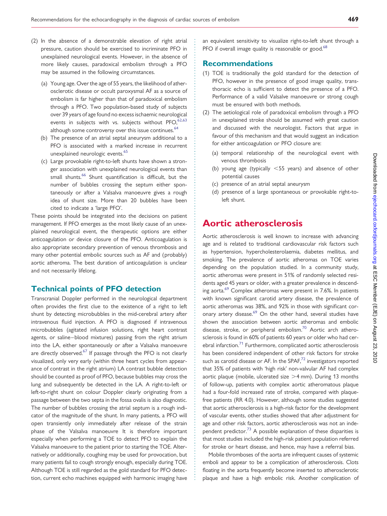- (2) In the absence of a demonstrable elevation of right atrial pressure, caution should be exercised to incriminate PFO in unexplained neurological events. However, in the absence of more likely causes, paradoxical embolism through a PFO may be assumed in the following circumstances.
	- (a) Young age. Over the age of 55 years, the likelihood of atherosclerotic disease or occult paroxysmal AF as a source of embolism is far higher than that of paradoxical embolism through a PFO. Two population-based study of subjects over 39 years of age found no excess ischaemic neurological events in subjects with vs. subjects without PFO, [62,63](#page-14-0) although some controversy over this issue continues.<sup>[64](#page-14-0)</sup>
	- (b) The presence of an atrial septal aneurysm additional to a PFO is associated with a marked increase in recurrent unexplained neurologic events.<sup>[65](#page-14-0)</sup>
	- (c) Large provokable right-to-left shunts have shown a stronger association with unexplained neurological events than small shunts.<sup>[66](#page-14-0)</sup> Shunt quantification is difficult, but the number of bubbles crossing the septum either spontaneously or after a Valsalva manoeuvre gives a rough idea of shunt size. More than 20 bubbles have been cited to indicate a 'large PFO'.

These points should be integrated into the decisions on patient management. If PFO emerges as the most likely cause of an unexplained neurological event, the therapeutic options are either anticoagulation or device closure of the PFO. Anticoagulation is also appropriate secondary prevention of venous thrombosis and many other potential embolic sources such as AF and (probably) aortic atheroma. The best duration of anticoagulation is unclear and not necessarily lifelong.

### Technical points of PFO detection

Transcranial Doppler performed in the neurological department often provides the first clue to the existence of a right to left shunt by detecting microbubbles in the mid-cerebral artery after intravenous fluid injection. A PFO is diagnosed if intravenous microbubbles (agitated infusion solutions, right heart contrast agents, or saline–blood mixtures) passing from the right atrium into the LA, either spontaneously or after a Valsalva manoeuvre are directly observed. $67$  If passage through the PFO is not clearly visualized, only very early (within three heart cycles from appearance of contrast in the right atrium) LA contrast bubble detection should be counted as proof of PFO, because bubbles may cross the lung and subsequently be detected in the LA. A right-to-left or left-to-right shunt on colour Doppler clearly originating from a passage between the two septa in the fossa ovalis is also diagnostic. The number of bubbles crossing the atrial septum is a rough indicator of the magnitude of the shunt. In many patients, a PFO will open transiently only immediately after release of the strain phase of the Valsalva manoeuvre It is therefore important especially when performing a TOE to detect PFO to explain the Valsalva manoeuvre to the patient prior to starting the TOE. Alternatively or additionally, coughing may be used for provocation, but many patients fail to cough strongly enough, especially during TOE. Although TOE is still regarded as the gold standard for PFO detection, current echo machines equipped with harmonic imaging have an equivalent sensitivity to visualize right-to-left shunt through a PFO if overall image quality is reasonable or good.<sup>[68](#page-14-0)</sup>

#### Recommendations

- (1) TOE is traditionally the gold standard for the detection of PFO, however in the presence of good image quality, transthoracic echo is sufficient to detect the presence of a PFO. Performance of a valid Valsalve manoeuvre or strong cough must be ensured with both methods.
- (2) The aetiological role of paradoxical embolism through a PFO in unexplained stroke should be assumed with great caution and discussed with the neurologist. Factors that argue in favour of this mechanism and that would suggest an indication for either anticoagulation or PFO closure are:
	- (a) temporal relationship of the neurological event with venous thrombosis
	- (b) young age (typically  $<$  55 years) and absence of other potential causes
	- (c) presence of an atrial septal aneurysm
	- (d) presence of a large spontaneous or provokable right-toleft shunt.

## Aortic atherosclerosis

Aortic atherosclerosis is well known to increase with advancing age and is related to traditional cardiovascular risk factors such as hypertension, hypercholesterolaemia, diabetes mellitus, and smoking. The prevalence of aortic atheromas on TOE varies depending on the population studied. In a community study, aortic atheromas were present in 51% of randomly selected residents aged 45 years or older, with a greater prevalence in descend-ing aorta.<sup>[69](#page-14-0)</sup> Complex atheromas were present in 7.6%. In patients with known significant carotid artery disease, the prevalence of aortic atheromas was 38%, and 92% in those with significant coronary artery disease.<sup>69</sup> On the other hand, several studies have shown the association between aortic atheromas and embolic disease, stroke, or peripheral embolism.<sup>70</sup> Aortic arch atherosclerosis is found in 60% of patients 60 years or older who had cer-ebral infarction.<sup>[71](#page-14-0)</sup> Furthermore, complicated aortic atherosclerosis has been considered independent of other risk factors for stroke such as carotid disease or AF. In the SPAF, $^{72}$  $^{72}$  $^{72}$  investigators reported that 35% of patients with 'high risk' non-valvular AF had complex aortic plaque (mobile, ulcerated size  $>4$  mm). During 13 months of follow-up, patients with complex aortic atheromatous plaque had a four-fold increased rate of stroke, compared with plaquefree patients (RR 4.0). However, although some studies suggested that aortic atherosclerosis is a high-risk factor for the development of vascular events, other studies showed that after adjustment for age and other risk factors, aortic atherosclerosis was not an inde-pendent predictor.<sup>[73](#page-14-0)</sup> A possible explanation of these disparities is that most studies included the high-risk patient population referred for stroke or heart disease, and hence, may have a referral bias.

Mobile thromboses of the aorta are infrequent causes of systemic emboli and appear to be a complication of atherosclerosis. Clots floating in the aorta frequently become inserted to atherosclerotic plaque and have a high embolic risk. Another complication of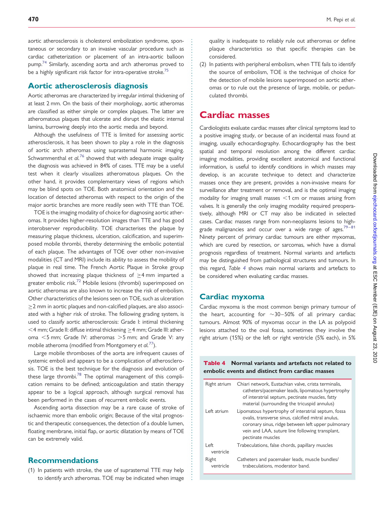aortic atherosclerosis is cholesterol embolization syndrome, spontaneous or secondary to an invasive vascular procedure such as cardiac catheterization or placement of an intra-aortic balloon pump.<sup>74</sup> Similarly, ascending aorta and arch atheromas proved to be a highly significant risk factor for intra-operative stroke.<sup>75</sup>

#### Aortic atherosclerosis diagnosis

Aortic atheromas are characterized by irregular intimal thickening of at least 2 mm. On the basis of their morphology, aortic atheromas are classified as either simple or complex plaques. The latter are atheromatous plaques that ulcerate and disrupt the elastic internal lamina, burrowing deeply into the aortic media and beyond.

Although the usefulness of TTE is limited for assessing aortic atherosclerosis, it has been shown to play a role in the diagnosis of aortic arch atheromas using suprasternal harmonic imaging. Schwammenthal et  $al^{76}$  $al^{76}$  $al^{76}$  showed that with adequate image quality the diagnosis was achieved in 84% of cases. TTE may be a useful test when it clearly visualizes atheromatous plaques. On the other hand, it provides complementary views of regions which may be blind spots on TOE. Both anatomical orientation and the location of detected atheromas with respect to the origin of the major aortic branches are more readily seen with TTE than TOE.

TOE is the imaging modality of choice for diagnosing aortic atheromas. It provides higher-resolution images than TTE and has good interobserver reproducibility. TOE characterises the plaque by measuring plaque thickness, ulceration, calcification, and superimposed mobile thrombi, thereby determining the embolic potential of each plaque. The advantages of TOE over other non-invasive modalities (CT and MRI) include its ability to assess the mobility of plaque in real time. The French Aortic Plaque in Stroke group showed that increasing plaque thickness of  $\geq$ 4 mm imparted a greater embolic risk.<sup>[72](#page-14-0)</sup> Mobile lesions (thrombi) superimposed on aortic atheromas are also known to increase the risk of embolism. Other characteristics of the lesions seen on TOE, such as ulceration ≥2 mm in aortic plaques and non-calcified plaques, are also associated with a higher risk of stroke. The following grading system, is used to classify aortic atherosclerosis: Grade I: intimal thickening  $<$  4 mm; Grade II: diffuse intimal thickening  $\geq$  4 mm; Grade III: atheroma <5 mm; Grade IV: atheromas >5 mm; and Grade V: any mobile atheroma (modified from Montgomery et  $al.^{\prime\prime}$ ).

Large mobile thromboses of the aorta are infrequent causes of systemic emboli and appears to be a complication of atherosclerosis. TOE is the best technique for the diagnosis and evolution of these large thrombi. $^{78}$  $^{78}$  $^{78}$  The optimal management of this complication remains to be defined; anticoagulation and statin therapy appear to be a logical approach, although surgical removal has been performed in the cases of recurrent embolic events.

Ascending aorta dissection may be a rare cause of stroke of ischaemic more than embolic origin; Because of the vital prognostic and therapeutic consequences, the detection of a double lumen, floating membrane, initial flap, or aortic dilatation by means of TOE can be extremely valid.

### **Recommendations**

(1) In patients with stroke, the use of suprasternal TTE may help to identify arch atheromas. TOE may be indicated when image

quality is inadequate to reliably rule out atheromas or define plaque characteristics so that specific therapies can be considered.

(2) In patients with peripheral embolism, when TTE fails to identify the source of embolism, TOE is the technique of choice for the detection of mobile lesions superimposed on aortic atheromas or to rule out the presence of large, mobile, or pedunculated thrombi.

## Cardiac masses

Cardiologists evaluate cardiac masses after clinical symptoms lead to a positive imaging study, or because of an incidental mass found at imaging, usually echocardiography. Echocardiography has the best spatial and temporal resolution among the different cardiac imaging modalities, providing excellent anatomical and functional information, is useful to identify conditions in which masses may develop, is an accurate technique to detect and characterize masses once they are present, provides a non-invasive means for surveillance after treatment or removal, and is the optimal imaging modality for imaging small masses  $<$  1 cm or masses arising from valves. It is generally the only imaging modality required preoperatively, although MRI or CT may also be indicated in selected cases. Cardiac masses range from non-neoplasms lesions to highgrade malignancies and occur over a wide range of ages. $79-81$  $79-81$ Ninety percent of primary cardiac tumours are either myxomas, which are cured by resection, or sarcomas, which have a dismal prognosis regardless of treatment. Normal variants and artefacts may be distinguished from pathological structures and tumours. In this regard, Table 4 shows main normal variants and artefacts to be considered when evaluating cardiac masses.

### Cardiac myxoma

Cardiac myxoma is the most common benign primary tumour of the heart, accounting for  $\sim$ 30–50% of all primary cardiac tumours. Almost 90% of myxomas occur in the LA as polypoid lesions attached to the oval fossa, sometimes they involve the right atrium (15%) or the left or right ventricle (5% each), in 5%

#### Table 4 Normal variants and artefacts not related to embolic events and distinct from cardiac masses

| Right atrium       | Chiari network, Eustachian valve, crista terminalis,<br>catheters/pacemaker leads, lipomatous hypertrophy<br>of interatrial septum, pectinate muscles, fatty<br>material (surrounding the tricuspid annulus)                            |
|--------------------|-----------------------------------------------------------------------------------------------------------------------------------------------------------------------------------------------------------------------------------------|
| Left atrium        | Lipomatous hypertrophy of interatrial septum, fossa<br>ovalis, transverse sinus, calcified mitral anulus,<br>coronary sinus, ridge between left upper pulmonary<br>vein and LAA, suture line following transplant,<br>pectinate muscles |
| l eft<br>ventricle | Trabeculations, false chords, papillary muscles                                                                                                                                                                                         |
| Right<br>ventricle | Catheters and pacemaker leads, muscle bundles/<br>trabeculations, moderator band.                                                                                                                                                       |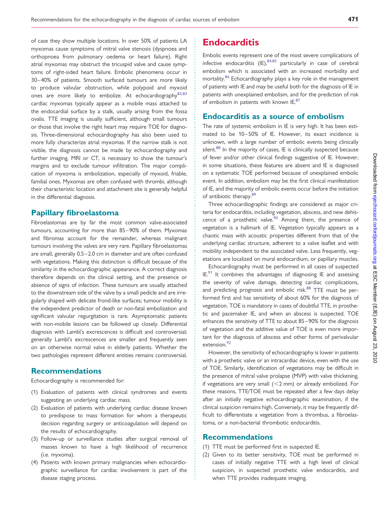of case they show multiple locations. In over 50% of patients LA myxomas cause symptoms of mitral valve stenosis (dyspnoea and orthopnoea from pulmonary oedema or heart failure). Right atrial myxomas may obstruct the tricuspid valve and cause symptoms of right-sided heart failure. Embolic phenomena occur in 30–40% of patients. Smooth surfaced tumours are more likely to produce valvular obstruction, while polypoid and myxoid ones are more likely to embolize. At echocardiography<sup>[82,83](#page-14-0)</sup> cardiac myxomas typically appear as a mobile mass attached to the endocardial surface by a stalk, usually arising from the fossa ovalis. TTE imaging is usually sufficient, although small tumours or those that involve the right heart may require TOE for diagnosis. Three-dimensional echocardiography has also been used to more fully characterize atrial myxomas. If the narrow stalk is not visible, the diagnosis cannot be made by echocardiography and further imaging, MRI or CT, is necessary to show the tumour's margins and to exclude tumour infiltration. The major complication of myxoma is embolization, especially of myxoid, friable, familial ones. Myxomas are often confused with thrombi, although their characteristic location and attachment site is generally helpful in the differential diagnosis.

#### Papillary fibroelastoma

Fibroelastomas are by far the most common valve-associated tumours, accounting for more than 85–90% of them. Myxomas and fibromas account for the remainder, whereas malignant tumours involving the valves are very rare. Papillary fibroelastomas are small, generally 0.5–2.0 cm in diameter and are often confused with vegetations. Making this distinction is difficult because of the similarity in the echocardiographic appearance. A correct diagnosis therefore depends on the clinical setting, and the presence or absence of signs of infection. These tumours are usually attached to the downstream side of the valve by a small pedicle and are irregularly shaped with delicate frond-like surfaces; tumour mobility is the independent predictor of death or non-fatal embolization and significant valvular regurgitation is rare. Asymptomatic patients with non-mobile lesions can be followed up closely. Differential diagnosis with Lambl's excrescences is difficult and controversial; generally Lambl's excrescences are smaller and frequently seen on an otherwise normal valve in elderly patients. Whether the two pathologies represent different entities remains controversial.

#### Recommendations

Echocardiography is recommended for:

- (1) Evaluation of patients with clinical syndromes and events suggesting an underlying cardiac mass.
- (2) Evaluation of patients with underlying cardiac disease known to predispose to mass formation for whom a therapeutic decision regarding surgery or anticoagulation will depend on the results of echocardiography.
- (3) Follow-up or surveillance studies after surgical removal of masses known to have a high likelihood of recurrence (i.e. myxoma).
- (4) Patients with known primary malignancies when echocardiographic surveillance for cardiac involvement is part of the disease staging process.

## **Endocarditis**

Embolic events represent one of the most severe complications of infective endocarditis  $\left(\mathsf{IE}\right)^{84,85}$  $\left(\mathsf{IE}\right)^{84,85}$  $\left(\mathsf{IE}\right)^{84,85}$  particularly in case of cerebral embolism which is associated with an increased morbidity and mortality.[86](#page-14-0) Echocardiography plays a key role in the management of patients with IE and may be useful both for the diagnosis of IE in patients with unexplained embolism, and for the prediction of risk of embolism in patients with known IE.<sup>87</sup>

### Endocarditis as a source of embolism

The rate of systemic embolism in IE is very high. It has been estimated to be 10–50% of IE. However, its exact incidence is unknown, with a large number of embolic events being clinically silent.<sup>[88](#page-15-0)</sup> In the majority of cases, IE is clinically suspected because of fever and/or other clinical findings suggestive of IE. However, in some situations, these features are absent and IE is diagnosed on a systematic TOE performed because of unexplained embolic event. In addition, embolism may be the first clinical manifestation of IE, and the majority of embolic events occur before the initiation of antibiotic therapy.<sup>89</sup>

Three echocardiographic findings are considered as major criteria for endocarditis, including vegetation, abscess, and new dehiscence of a prosthetic valve.  $90$  Among them, the presence of vegetation is a hallmark of IE. Vegetation typically appears as a chaotic mass with acoustic properties different from that of the underlying cardiac structure, adherent to a valve leaflet and with mobility independent to the associated valve. Less frequently, vegetations are localized on mural endocardium, or papillary muscles.

Echocardiography must be performed in all cases of suspected  $IE<sup>91</sup>$  It combines the advantages of diagnosing IE and assessing the severity of valve damage, detecting cardiac complications, and predicting prognosis and embolic risk.<sup>[88](#page-15-0)</sup> TTE must be performed first and has sensitivity of about 60% for the diagnosis of vegetation. TOE is mandatory in cases of doubtful TTE, in prosthetic and pacemaker IE, and when an abscess is suspected. TOE enhances the sensitivity of TTE to about 85–90% for the diagnosis of vegetation and the additive value of TOE is even more important for the diagnosis of abscess and other forms of perivalvular extension.<sup>[92](#page-15-0)</sup>

However, the sensitivity of echocardiography is lower in patients with a prosthetic valve or an intracardiac device, even with the use of TOE. Similarly, identification of vegetations may be difficult in the presence of mitral valve prolapse (MVP) with valve thickening, if vegetations are very small  $(< 2$  mm) or already embolized. For these reasons, TTE/TOE must be repeated after a few days delay after an initially negative echocardiographic examination, if the clinical suspicion remains high. Conversely, it may be frequently difficult to differentiate a vegetation from a thrombus, a fibroelastoma, or a non-bacterial thrombotic endocarditis.

#### Recommendations

- (1) TTE must be performed first in suspected IE.
- (2) Given to its better sensitivity, TOE must be performed in cases of initially negative TTE with a high level of clinical suspicion, in suspected prosthetic valve endocarditis, and when TTE provides inadequate imaging.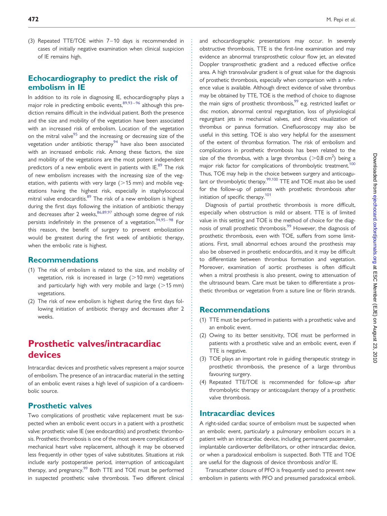(3) Repeated TTE/TOE within 7–10 days is recommended in cases of initially negative examination when clinical suspicion of IE remains high.

### Echocardiography to predict the risk of embolism in IE

In addition to its role in diagnosing IE, echocardiography plays a major role in predicting embolic events,  $89,93 - 96$  $89,93 - 96$  although this prediction remains difficult in the individual patient. Both the presence and the size and mobility of the vegetation have been associated with an increased risk of embolism. Location of the vegetation on the mitral valve $95$  and the increasing or decreasing size of the vegetation under antibiotic therapy<sup>[94](#page-15-0)</sup> have also been associated with an increased embolic risk. Among these factors, the size and mobility of the vegetations are the most potent independent predictors of a new embolic event in patients with IE.<sup>89</sup> The risk of new embolism increases with the increasing size of the vegetation, with patients with very large  $(>15$  mm) and mobile vegetations having the highest risk, especially in staphylococcal mitral valve endocarditis.<sup>[89](#page-15-0)</sup> The risk of a new embolism is highest during the first days following the initiation of antibiotic therapy and decreases after 2 weeks,  $86,89,97$  $86,89,97$  $86,89,97$  $86,89,97$  $86,89,97$  although some degree of risk persists indefinitely in the presence of a vegetation.<sup>[94,95](#page-15-0)-[98](#page-15-0)</sup> For this reason, the benefit of surgery to prevent embolization would be greatest during the first week of antibiotic therapy, when the embolic rate is highest.

### Recommendations

- (1) The risk of embolism is related to the size, and mobility of vegetation, risk is increased in large  $(>10 \text{ mm})$  vegetations and particularly high with very mobile and large  $(>15 \text{ mm})$ vegetations.
- (2) The risk of new embolism is highest during the first days following initiation of antibiotic therapy and decreases after 2 weeks.

## Prosthetic valves/intracardiac devices

Intracardiac devices and prosthetic valves represent a major source of embolism. The presence of an intracardiac material in the setting of an embolic event raises a high level of suspicion of a cardioembolic source.

#### Prosthetic valves

Two complications of prosthetic valve replacement must be suspected when an embolic event occurs in a patient with a prosthetic valve: prosthetic valve IE (see endocarditis) and prosthetic thrombosis. Prosthetic thrombosis is one of the most severe complications of mechanical heart valve replacement, although it may be observed less frequently in other types of valve substitutes. Situations at risk include early postoperative period, interruption of anticoagulant therapy, and pregnancy.<sup>99</sup> Both TTE and TOE must be performed in suspected prosthetic valve thrombosis. Two different clinical

and echocardiographic presentations may occur. In severely obstructive thrombosis, TTE is the first-line examination and may evidence an abnormal transprosthetic colour flow jet, an elevated Doppler transprosthetic gradient and a reduced effective orifice area. A high transvalvular gradient is of great value for the diagnosis of prosthetic thrombosis, especially when comparison with a reference value is available. Although direct evidence of valve thrombus may be obtained by TTE, TOE is the method of choice to diagnose the main signs of prosthetic thrombosis,<sup>[99](#page-15-0)</sup> e.g. restricted leaflet or disc motion, abnormal central regurgitation, loss of physiological regurgitant jets in mechanical valves, and direct visualization of thrombus or pannus formation. Cinefluoroscopy may also be useful in this setting. TOE is also very helpful for the assessment of the extent of thrombus formation. The risk of embolism and complications in prosthetic thrombosis has been related to the size of the thrombus, with a large thrombus  $(>0.8 \text{ cm}^2)$  being a major risk factor for complications of thrombolytic treatment.<sup>100</sup> Thus, TOE may help in the choice between surgery and anticoagulant or thrombolytic therapy.<sup>99,100</sup> TTE and TOE must also be used for the follow-up of patients with prosthetic thrombosis after initiation of specific therapy.[101](#page-15-0)

Diagnosis of partial prosthetic thrombosis is more difficult, especially when obstruction is mild or absent. TTE is of limited value in this setting and TOE is the method of choice for the diag-nosis of small prosthetic thrombosis.<sup>[99](#page-15-0)</sup> However, the diagnosis of prosthetic thrombosis, even with TOE, suffers from some limitations. First, small abnormal echoes around the prosthesis may also be observed in prosthetic endocarditis, and it may be difficult to differentiate between thrombus formation and vegetation. Moreover, examination of aortic prostheses is often difficult when a mitral prosthesis is also present, owing to attenuation of the ultrasound beam. Care must be taken to differentiate a prosthetic thrombus or vegetation from a suture line or fibrin strands.

#### Recommendations

- (1) TTE must be performed in patients with a prosthetic valve and an embolic event.
- (2) Owing to its better sensitivity, TOE must be performed in patients with a prosthetic valve and an embolic event, even if TTE is negative.
- (3) TOE plays an important role in guiding therapeutic strategy in prosthetic thrombosis, the presence of a large thrombus favouring surgery.
- (4) Repeated TTE/TOE is recommended for follow-up after thrombolytic therapy or anticoagulant therapy of a prosthetic valve thrombosis.

### Intracardiac devices

A right-sided cardiac source of embolism must be suspected when an embolic event, particularly a pulmonary embolism occurs in a patient with an intracardiac device, including permanent pacemaker, implantable cardioverter defibrillators, or other intracardiac device, or when a paradoxical embolism is suspected. Both TTE and TOE are useful for the diagnosis of device thrombosis and/or IE.

Transcatheter closure of PFO is frequently used to prevent new embolism in patients with PFO and presumed paradoxical emboli.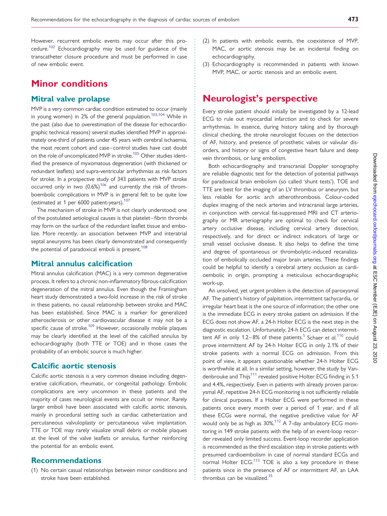However, recurrent embolic events may occur after this procedure.[102](#page-15-0) Echocardiography may be used for guidance of the transcatheter closure procedure and must be performed in case of new embolic event.

## Minor conditions

#### Mitral valve prolapse

MVP is a very common cardiac condition estimated to occur (mainly in young women) in 2% of the general population.<sup>103,104</sup> While in the past (also due to overestimation of the disease for echocardiographic technical reasons) several studies identified MVP in approximately one-third of patients under 45 years with cerebral ischaemia, the most recent cohort and case–control studies have cast doubt on the role of uncomplicated MVP in stroke.<sup>105</sup> Other studies identified the presence of myxomatous degeneration (with thickened or redundant leaflets) and supra-ventricular arrhythmias as risk factors for stroke. In a prospective study of 343 patients with MVP stroke occurred only in two  $(0.6\%)^{106}$  and currently the risk of thromboembolic complications in MVP is in general felt to be quite low (estimated at 1 per 6000 patient-years).<sup>107</sup>

The mechanism of stroke in MVP is not clearly understood; one of the postulated aetiological causes is that platelet–fibrin thrombi may form on the surface of the redundant leaflet tissue and embolize. More recently, an association between MVP and interatrial septal aneurysms has been clearly demonstrated and consequently the potential of paradoxical emboli is present.<sup>[108](#page-15-0)</sup>

#### Mitral annulus calcification

Mitral annulus calcification (MAC) is a very common degenerative process. It refers to a chronic non-inflammatory fibrous-calcification degeneration of the mitral annulus. Even though the Framingham heart study demonstrated a two-fold increase in the risk of stroke in these patients, no causal relationship between stroke and MAC has been established. Since MAC is a marker for generalized atherosclerosis or other cardiovascular disease it may not be a specific cause of stroke.<sup>[109](#page-15-0)</sup> However, occasionally mobile plaques may be clearly identified at the level of the calcified annulus by echocardiography (both TTE or TOE) and in those cases the probability of an embolic source is much higher.

#### Calcific aortic stenosis

Calcific aortic stenosis is a very common disease including degenerative calcification, rheumatic, or congenital pathology. Embolic complications are very uncommon in these patients and the majority of cases neurological events are occult or minor. Rarely larger emboli have been associated with calcific aortic stenosis, mainly in procedural setting such as cardiac catheterization and percutaneous valvuloplasty or percutaneous valve implantation. TTE or TOE may rarely visualize small debris or mobile plaques at the level of the valve leaflets or annulus, further reinforcing the potential for an embolic event.

### Recommendations

(1) No certain casual relationships between minor conditions and stroke have been established.

- (2) In patients with embolic events, the coexistence of MVP, MAC, or aortic stenosis may be an incidental finding on echocardiography.
- (3) Echocardiography is recommended in patients with known MVP, MAC, or aortic stenosis and an embolic event.

## Neurologist's perspective

Every stroke patient should initially be investigated by a 12-lead ECG to rule out myocardial infarction and to check for severe arrhythmias. In essence, during history taking and by thorough clinical checking, the stroke neurologist focuses on the detection of AF, history, and presence of prosthetic valves or valvular disorders, and history or signs of congestive heart failure and deep vein thrombosis, or lung embolism.

Both echocardiography and transcranial Doppler sonography are reliable diagnostic test for the detection of potential pathways for paradoxical brain embolism (so called 'shunt tests'). TOE and TTE are best for the imaging of an LV thrombus or aneurysm, but less reliable for aortic arch atherothrombosis. Colour-coded duplex imaging of the neck arteries and intracranial large arteries, in conjunction with cervical fat-suppressed MRI and CT arteriography or MR arteriography are optimal to check for cervical artery occlusive disease, including cervical artery dissection, respectively, and for direct or indirect indicators of large or small vessel occlusive disease. It also helps to define the time and degree of spontaneous or thrombolytic-induced recanalization of embolically occluded major brain arteries. These findings could be helpful to identify a cerebral artery occlusion as cardioembolic in origin, prompting a meticulous echocardiographic work-up.

An unsolved, yet urgent problem is the detection of paroxysmal AF. The patient's history of palpitation, intermittent tachycardia, or irregular heart beat is the one source of information; the other one is the immediate ECG in every stroke patient on admission. If the ECG does not show AF, a 24-h Holter ECG is the next step in the diagnostic escalation. Unfortunately, 24-h ECG can detect intermit-tent AF in only 1.2–8% of these patients.<sup>[5](#page-13-0)</sup> Schaer et  $al$ .<sup>[110](#page-15-0)</sup> could prove intermittent AF by 24-h Holter ECG in only 2.1% of their stroke patients with a normal ECG on admission. From this point of view, it appears questionable whether 24-h Holter ECG is worthwhile at all. In a similar setting, however, the study by Vandenbrouke and Thijs<sup>111</sup> revealed positive Holter ECG finding in 5.1 and 4.4%, respectively. Even in patients with already proven paroxysmal AF, repetitive 24-h ECG monitoring is not sufficiently reliable for clinical purposes. If a Holter ECG were performed in these patients once every month over a period of 1 year, and if all these ECGs were normal, the negative predictive value for AF would only be as high as 30%[.112](#page-15-0) A 7-day ambulatory ECG monitoring in 149 stroke patients with the help of an event-loop recorder revealed only limited success. Event-loop recorder application is recommended as the third escalation step in stroke patients with presumed cardioembolism in case of normal standard ECGs and normal Holter ECG.<sup>[113](#page-15-0)</sup> TOE is also a key procedure in these patients since in the presence of AF or intermittent AF, an LAA thrombus can be visualized. $35$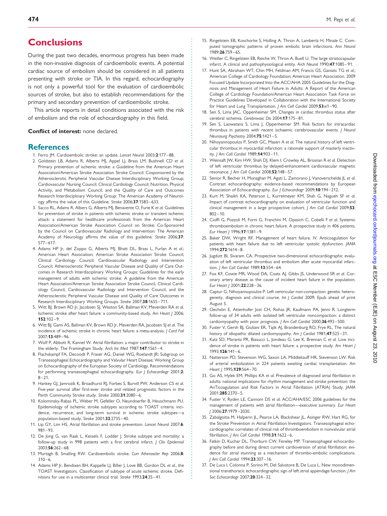## <span id="page-13-0"></span>**Conclusions**

During the past two decades, enormous progress has been made in the non-invasive diagnosis of cardioembolic events. A potential cardiac source of embolism should be considered in all patients presenting with stroke or TIA. In this regard, echocardiography is not only a powerful tool for the evaluation of cardioembolic sources of stroke, but also to establish recommendations for the primary and secondary prevention of cardioembolic stroke.

This article reports in detail conditions associated with the risk of embolism and the role of echocardiography in this field.

#### Conflict of interest: none declared.

#### **References**

- 1. Ferro JM. Cardioembolic stroke: an update. Lancet Neurol 2003;2:177–88.
- 2. Goldstein LB, Adams R, Alberts MJ, Appel LJ, Brass LM, Bushnell CD et al. Primary prevention of ischemic stroke: a Guideline from the American Heart Association/American Stroke Association Stroke Council: Cosponsored by the Atherosclerotic Peripheral Vascular Disease Interdisciplinary Working Group; Cardiovascular Nursing Council; Clinical Cardiology Council; Nutrition, Physical Activity, and Metabolism Council; and the Quality of Care and Outcomes Research Interdisciplinary Working Group: The American Academy of Neurology affirms the value of this Guideline. Stroke 2006;37:1583–633.
- 3. Sacco RL, Adams R, Albers G, Alberts MJ, Benavente O, Furie K et al. Guidelines for prevention of stroke in patients with ischemic stroke or transient ischemic attack: a statement for healthcare professionals from the American Heart Association/American Stroke Association Council on Stroke: Co-Sponsored by the Council on Cardiovascular Radiology and Intervention: The American Academy of Neurology affirms the value of this guideline. Stroke 2006;37: 577–617.
- 4. Adams HP Jr, del Zoppo G, Alberts MJ, Bhatt DL, Brass L, Furlan A et al.; American Heart Association; American Stroke Association Stroke Council; Clinical Cardiology Council; Cardiovascular Radiology and Intervention Council; Atherosclerotic Peripheral Vascular Disease and Quality of Care Outcomes in Research Interdisciplinary Working Groups: Guidelines for the early management of adults with ischemic stroke. A guideline from the American Heart Association/American Stroke Association Stroke Council, Clinical Cardiology Council, Cardiovascular Radiology and Intervention Council, and the Atherosclerotic Peripheral Vascular Disease and Quality of Care Outcomes in Research Interdisciplinary Working Groups. Stroke 2007;38:1655–711.
- 5. Witt BJ, Brown RD Jr, Jacobsen SJ, Weston SA, Ballman KV, Meverden RA et al. Ischemic stroke after heart failure: a community-based study. Am Heart J 2006;  $152 \cdot 102 - 9$
- 6. Witt BJ, Gami AS, Ballman KV, Brown RD Jr, Meverden RA, Jacobsen SJ et al. The incidence of ischemic stroke in chronic heart failure: a meta-analysis. J Card Fail 2007;13:489–96.
- 7. Wolf P, Abbott R, Kannel W. Atrial fibrillation: a major contributor to stroke in the elderly. The Framingham Study. Arch Int Med 1987:147:1561–4.
- 8. Flachskampf FA, Decoodt P, Fraser AG, Daniel WG, Roelandt JR; Subgroup on Transesophageal Echocardiography and Valvular Heart Disease; Working Group on Echocardiography of the European Society of Cardiology. Recommendations for performing transesoephageal echocardiography. Eur J Echocardiogr 2001;2:  $8 - 21$
- 9. Hankey GJ, Jamrozik K, Broadhurst RJ, Forbes S, Burvill PW, Anderson CS et al. Five-year survival after first-ever stroke and related prognostic factors in the Perth Community Stroke study. Stroke 2000;31:2080-6.
- 10. Kolominsky-Rabas PL, Weber M, Gefeller O, Neundoerfer B, Heuschmann PU. Epidemiology of ischemic stroke subtypes according to TOAST criteria: incidence, recurrence, and long-term survival in ischemic stroke subtypes—a population-based study. Stroke 2001;32:2735–40.
- 11. Lip GY, Lim HS. Atrial fibrillation and stroke prevention. Lancet Neurol 2007;6: 981–93.
- 12. De Jong G, van Raak L, Kessels F, Lodder J. Stroke subtype and mortality: a follow-up study in 998 patients with a first cerebral infarct. J Clin Epidemiol 2003;56:262–68.
- 13. Murtagh B, Smalling RW. Cardioembolic stroke. Curr Atheroscler Rep 2006;8:  $310-6$ .
- 14. Adams HP Jr, Bendixen BH, Kappelle LJ, Biller J, Love BB, Gordon DL et al., the TOAST Investigators. Classification of subtype of acute ischemic stroke. Definitions for use in a multicenter clinical trial. Stroke 1993;24:35–41.
- 15. Ringelstein EB, Koschorke S, Holling A, Thron A, Lambertz H, Minale C. Computed tomographic patterns of proven embolic brain infarctions. Ann Neurol 1989;26:759–65.
- 16. Weiller C, Ringelstein EB, Reiche W, Thron A, Buell U. The large striatocapsular infarct. A clinical and pathophysiological entity. Arch Neurol 1990;47:1085–91.
- 17. Hunt SA, Abraham WT, Chin MH, Feldman AM, Francis GS, Ganiats TG et al.; American College of Cardiology Foundation; American Heart Association. 2009 Focused Update Incorporated Into the ACC/AHA 2005 Guidelines for the Diagnosis and Management of Heart Failure in Adults: A Report of the American College of Cardiology Foundation/American Heart Association Task Force on Practice Guidelines Developed in Collaboration with the International Society for Heart and Lung Transplantation. J Am Coll Cardiol 2009;53:e1-90.
- 18. Sen S, Lima JAC, Oppenheimer SM. Changes in cardiac thrombus status after cerebral ischemia. Cerebrovasc Dis 2004;17:175–81.
- 19. Sen S, Laowatana S, Lima J, Oppenheimer SM. Risk factors for intracardiac thrombus in patients with recent ischaemic cerebrovascular events. J Neurol Neurosurg Psychiatry 2004;75;1421–5.
- 20. Nihoyannopoulos P, Smith GC, Maseri A et al. The natural history of left ventricular thrombus in myocardial infarction: a rationale support of masterly inactivity. I Am Coll Cardiol 1989:14:903-11.
- 21. Weinsaft JW, Kim HW, Shah DJ, Klem I, Crowley AL, Brosnan R et al. Detection of left ventricular thrombus by delayed-enhancement cardiovascular magnetic resonance. J Am Coll Cardiol 2008;52:148–57.
- 22. Senior R, Becher H, Monaghan M, Agati L, Zamorano J, Vanoverschelde JL et al. Contrast echocardiography: evidence-based recommendations by European Association of Echocardiography. Eur J Echocardiogr 2009;10:194-212.
- 23. Kurt M, Shaikh KA, Peterson L, Kurrelmeyer KM, Shah G, Nagueh SF et al. Impact of contrast echocardiography on evaluation of ventricular function and clinical management in a large prospective cohort. J Am Coll Cardiol 2009;53: 802–10.
- 24. Cioffi G, Pozzoli M, Forni G, Franchini M, Opasich C, Cobelli F et al. Systemic thromboembolism in chronic heart failure. A prospective study in 406 patients. Eur Heart | 1996;17:1381-9.
- 25. Baker DW, Wright RF. Management of heart failure. IV. Anticoagulation for patients with heart failure due to left ventricular systolic dysfunction. JAMA 1994;272:1614–8.
- 26. Jugdutt BI, Sivaram CA. Prospective two-dimensional echocardiographic evaluation of left ventricular thrombus and embolism after acute myocardial infarction. J Am Coll Cardiol 1989;13:554-64.
- 27. Fox KF, Cowie MR, Wood DA, Coats AJ, Gibbs JS, Underwood SR et al. Coronary artery disease as the cause of incident heart failure in the population. Eur Heart | 2001;22:228-36.
- 28. Captur G, Nihoyannopoulos P. Left ventricular non-compaction: genetic heterogeneity, diagnosis and clinical course. Int J Cardiol 2009; Epub ahead of print August 5.
- 29. Oechslin E, Attenhofer Jost CH, Rohas JR, Kaufmann PA, Jenni R. Longterm follow-up of 34 adults with isolated left ventricular noncompaction: a distinct cardiomyopathy with poor prognosis. J Am Coll Cardiol 2000;36:493-500.
- 30. Fuster V, Gersh BJ, Giuliani ER, Tajik AJ, Brandenburg RO, Frye RL. The natural history of idiopathic dilated cardiomyopathy. Am J Cardiol 1981;47:525-31.
- 31. Katz SD, Marantz PR, Biasucci L, Jondeau G, Lee K, Brennan C et al. Low incidence of stroke in patients with heart failure: a prospective study. Am Heart J 1993;126:141–6.
- 32. Natterson PD, Stevenson WG, Saxon LA, Middlekauff HR, Stevenson LW. Risk of arterial embolization in 224 patients awaiting cardiac transplantation. Am Heart / 1995;129:564-70.
- 33. Go AS, Hylek EM, Phillips KA et al. Prevalence of diagnosed atrial fibrillation in adults: national implications for rhythm management and stroke prevention: the AnTicoagulation and Risk Factors in Atrial Fibrillation (ATRIA) Study. JAMA 2001;285:2370–5.
- 34. Fuster V, Ryden LE, Cannom DS et al. ACC/AHA/ESC 2006 guidelines for the management of patients with atrial fibrillation—executive summary. Eur Heart J 2006;27:1979–2030.
- 35. Zabalgoitia M, Halperin JL, Pearce LA, Blackshear JL, Asinger RW, Hart RG, for the Stroke Prevention in Atrial Fibrillation Investigators. Transesophageal echocardiographic correlates of clinical risk of thromboembolism in nonvalvular atrial fibrillation. J Am Coll Cardiol 1998;31:1622-6.
- 36. Fatkin D, Kuchar DL, Thorburn CW, Feneley MP. Transesophageal echocardiography before and during direct current cardioversion of atrial fibrillation: evidence for atrial stunning as a mechanism of thrombo-embolic complications. J Am Coll Cardiol 1994;23:307–16.
- 37. De Luca I, Colonna P, Sorino M, Del Salvatore B, De Luca L. New monodimensional transthoracic echocardiographic sign of left atrial appendage function. J Am Soc Echocardiogr 2007;20:324–32.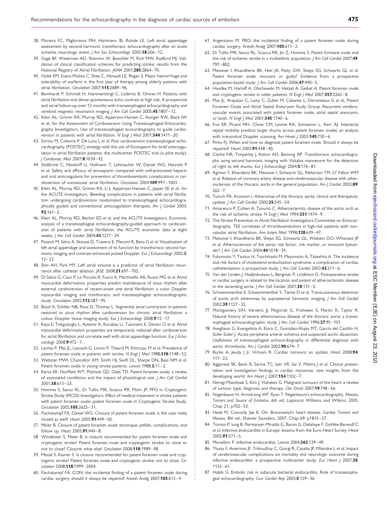- <span id="page-14-0"></span>38. Moreira FC, Miglioransa MH, Hartmann IB, Rohde LE. Left atrial appendage assessment by second harmonic transthoracic echocardiography after an acute ischemic neurologic event. J Am Soc Echocardiogr 2005;18:206–12.
- 39. Gage BF, Waterman AD, Shannon W, Boechler M, Rich MW, Radford MJ. Validation of clinical classification schemes for predicting stroke: results from the National Registry of Atrial Fibrillation. JAMA 2001;285:2864–70.
- 40. Hylek EM, Evans-Molina C, Shea C, Henault LE, Regan S. Major hemorrhage and tolerability of warfarin in the first year of therapy among elderly patients with atrial fibrillation. Circulation 2007;115:2689–96.
- 41. Bernhardt P, Schmidt H, Hammerstingl C, Lüderitz B, Omran H. Patients with atrial fibrillation and dense spontaneous echo contrast at high risk. A prospective and serial follow-up over 12 months with transesophageal echocardiography and cerebral magnetic resonance imaging. J Am Coll Cardiol 2005;45:1807–12.
- 42. Klein AL, Grimm RA, Murray RD, Apperson-Hansen C, Asinger RW, Black IW et al., for the Assessment of Cardioversion Using Transesophageal Echocardiography Investigators. Use of transesophageal ecocardiography to guide cardioversion in patients with atrial fibrillation. N Engl J Med 2001;344:1411-20.
- 43. Sorino M, Colonna P, De Luca L et al. Post cardioversion transesophageal echocardiography (POSTEC) strategy with the use of Enoxaparin for brief anticoagulation in atrial fibrillation patients: the multicenter POSTEC trial (a pilot study). J Cardiovasc Med 2007;8:1034–42.
- 44. Stellbrink C, Nixdorff U, Hofmann T, Lehmacher W, Daniel WG, Hanrath P et al. Safety and efficacy of enoxaparin compared with unfractionated heparin and oral anticoagulants for prevention of thromboembolic complications in cardioversion of nonvalvular atrial fibrillation. Circulation 2004:109:997-1003.
- 45. Klein AL, Murray RD, Grimm RA, Li J, Apperson-Hansen C, Jasper SE et al., for the ACUTE Investigators. Bleeding complications in patients with atrial fibrillation undergoing cardioversion randomized to transesophageal echocardiographically guided and conventional anticoagulation therapies. Am J Cardiol 2003;  $92:161 - 5$ .
- 46. Klein AL, Murray RD, Becker ED et al. and the ACUTE Investigators. Economic analysis of a transesophageal echocardiography-guided approach to cardioversion of patients with atrial fibrillation: the ACUTE economic data at eight weeks. J Am Coll Cardiol 2004;43:1217–24.
- 47. Pozzoli M, Selva A, Skouse D, Traversi E, Mancini R, Bana G et al. Visualization of left atrial appendage and assessment of its function by transthoracic second harmonic imaging and contrast-enhanced pulsed Doppler. Eur J Echocardiogr 2002;3: 13–23.
- 48. Shin AH, Park MY. Left atrial volume is a predictor of atrial fibrillation recurrence after catheter ablation. JASE 2008;21:697–702.
- 49. Di Salvo G, Caso P, Lo Piccolo R, Fusco A, Martiniello AR, Russo MG et al. Atrial myocardial deformation properties predict maintenance of sinus rhythm after external cardioversion of recent-onset one atrial fibrillation: a color Doppler myocardial imaging and tranthoracic and transesophageal echocardiographic study. Circulation 2005;112:387–95.
- 50. Boyd A, Schiller NB, Ross D, Thomas L. Segmental atrial contraction in patients restored to sinus rhythm after cardioversion for chronic atrial fibrillation: a colour Doppler tissue imaging study. Eur J Echocardiogr 2008;9:12–17.
- 51. Kaya E, Tokgozoglu L, Aytemir K, Kocabas U, Tulument E, Deveci O et al. Atrial myocardial deformation properties are temporarily reduced after cardioversion for atrial fibrillation and correlate well with atrial appendage function. Eur J Echocardiogr 2008;9:472-7.
- 52. Lechat P, Mas JL, Lascault G, Loron P, Theard M, Klimczac M et al. Prevalence of patent foramen ovale in patients with stroke. N Engl J Med 1988;318:1148-52.
- 53. Webster MWI, Chancellor AM, Smith HJ, Swift DL, Sharpe DN, Bass NM et al. Patent foramen ovale in young stroke patients. Lancet 1988;2:11-2.
- 54. Kerut EK, Norfleet WT, Plotnick GD, Giles TD. Patent foramen ovale: a review of associated conditions and the impact of physiological size. J Am Coll Cardiol 2001;38:613–23.
- 55. Homma S, Sacco RL, Di Tullio MR, Sciacca RR, Mohr JP, PFO in Cryptogenic Stroke Study (PICSS) Investigators. Effect of medical treatment in stroke patients with patent foramen ovale: patent foramen ovale in Cryptogenic Stroke Study. Circulation 2002;105:2625–31.
- 56. Flachskampf FA, Daniel WG. Closure of patent foramen ovale: is the case really closed as well? Heart 2005;91:449–50.
- 57. Meier B. Closure of patent foramen ovale: technique, pitfalls, complications, and follow up. Heart 2005;91:444-8.
- 58. Windecker S, Meier B. Is closure recommended for patent foramen ovale and cryptogenic stroke? Patent foramen ovale and cryptogenic stroke: to close or not to close? Closure: what else! Circulation 2008;118:1989-98.
- 59. Messé S, Kasner S. Is closure recommended for patent foramen ovale and cryptogenic stroke? Patent foramen ovale and cryptogenic stroke: not to close. Circulation 2008;118:1999–2004.
- 60. Flachskampf FA. CON: the incidental finding of a patent foramen ovale during cardiac surgery: should it always be repaired? Anesth Analg 2007;105:613-4.
- 61. Argenziano M. PRO: the incidental finding of a patent foramen ovale during cardiac surgery. Anesth Analg 2007;105:611–2.
- 62. Di Tullio MR, Sacco RL, Sciacca RR, Jin Z, Homma S. Patent formane ovale and the risk of ischemic stroke in a multiethnic population. J Am Coll Cardiol 2007;49: 797–802.
- 63. Meissner I, Khandheria BK, Heit JA, Petty GW, Sheps SG, Schwartz GL et al. Patent foramen ovale: innocent or guilty? Evidence from a prospective population-based study. J Am Coll Cardiol 2006;47:440-5.
- 64. Handke M, Harloff A, Olschewski M, Hetzel A, Geibel A. Patent foramen ovale and cryptogenic stroke in older patients. N Engl J Med 2007;357:2262-8.
- 65. Mas JL, Arquizan C, Lamy C, Zuber M, Cabanes L, Derumeaux G et al., Patent Foramen Ovale and Atrial Septal Aneurysm Study Group. Recurrent cerebrovascular events associated with patent foramen ovale, atrial septal aneurysm, or both. N Engl J Med 2001;345:1740–6.
- 66. Fox ER, Picard MH, Chow CM, Levine RA, Schwamm L, Kerr AJ. Interatrial septal mobility predicts larger shunts across patent foramen ovales: an analysis with transmitral Doppler scanning. Am Heart J 2003;145:730-6.
- 67. Pinto FJ. When and how to diagnose patent foramen ovale. Should it always be repaired? Heart 2005;91:438–40.
- 68. Clarke NR, Timperley J, Kelion AD, Banning AP. Transthoracic echocardiography using second harmonic imaging with Valsalva manoeuvre for the detection of right to left shunts. Eur J Echocardiogr 2004;5:176-81.
- 69. Agmon Y, Khanderia BK, Meissner I, Schwartz GL, Petterson TM, O' Fallon WM et al. Relation of coronary artery disease and cerebrovascular disease with atherosclerosis of the thoracic aorta in the general population. Am J Cardiol 2002;89:  $262 - 7$
- 70. Tunich PA, Kronzon I. Atheromas of the thoracic aorta: clinical and therapeutic update. | Am Coll Cardiol 2000;35:545-54.
- 71. Amarenco P, Cohen A, Tzourio C. Atherosclerotic disease of the aortic arch as the risk of ischemic stroke. N Engl J Med 1994:331:1474-9.
- 72. The Stroke Prevention in Atrial Fibrillation Investigators Committee on Echocardiography. TEE correlates of thromboembolism in high-risk patients with nonvalvular atrial fibrillation. Ann Intern Med 1998;128:639–47.
- 73. Meissner I, Khandheria BK, Sheps SG, Schwartz GL, Wiebers DO, Whisnant JP et al. Atherosclerosis of the aorta: risk factor, risk marker, or innocent bystander? J Am Coll Cardiol 2004;44:1018-24.
- 74. Fukumoto Y, Tsutsui H, Tsuchihashi M, Masumoto A, Takeshita A. The incidence and risk factors of cholesterol embolization syndrome, a complication of cardiac catheterization: a prospective study. | Am Coll Cardiol 2003;42:211-6.
- 75. Van der Linden J, Hadjinikolaou L, Bergman P, Lindblom D. Postoperative stroke in cardiac surgery is related to the location and extent of atherosclerotic disease in the ascending aorta. J Am Coll Cardiol 2001;38:131-5.
- 76. Schwammenthal E, Schwammenthal Y, Tanne D et al. Transcutaneous detection of aortic arch atheromas by suprasternal harmonic imaging. J Am Coll Cardiol 2002;39:1127–32.
- 77. Montgomery DH, Ververis JJ, Mcgorisk G, Frohwein S, Martin R, Taylor R. Natural history of severe atheromatous disease of the thoracic aorta: a transesophageal echocardiographic study. J Am Coll Cardiol 1996;27:95–101.
- 78. Avegliano G, Evangelista A, Elorz C, González-Alujas MT, García del Castillo H, Soler-Soler J. Acute peripheral arterial ischemia and suspected aortic dissection. Usefulness of transesophageal echocardiography in differential diagnosis with aortic thrombosis. Am J Cardiol 2002;90:674–7.
- 79. Burke A, Jeudy J Jr, Virmani R. Cardiac tumours: an update. Heart 2008;94: 117–23.
- 80. Aggarwal SK, Barik R, Sarma TC, Iyer VR, Sai V, Mishra J et al. Clinical presentation and investigation findings in cardiac myxomas: new insights from the developing world. Am Heart J 2007;154:1102-7.
- 81. Neragi-Miandoab S, Kim J, Vlahakes G. Malignant tumours of the heart: a review of tumour type, diagnosis and therapy. Clin Oncol 2007;19:748-56
- 82. Feigenbaum H, Armstrong WF, Ryan T. Feigenbaum's echocardiography. Masses, Tumors and Source of Embolus. 6th ed. Lippincot Williams and Wilkins; 2005. Chap 21, p702–33.
- 83. Heidi M, Connolly Jae K. Oh. Braunwalsd's heart disease. Cardiac Tumors and Masses. 8th ed., Elsevier Saunders, 2007. Chap 69, p1815–27.
- 84. Tornos P, Iung B, Permanyer-Miralda G, Baron G, Delahaye F, Gohlke-Barwolf C et al. Infective endocarditis in Europe: lessons from the Euro Heart Survey. Heart 2005;91:571–5.
- 85. Moreillon P. Infective endocarditis. Lancet 2004;363:139–49.
- 86. Thuny F, Avierinos JF, Tribouilloy C, Giorgi R, Casalta JP, Milandre L et al. Impact of cerebrovascular complications on mortality and neurologic outcome during infective endocarditis: a prospective multicenter study. Eur Heart J 2007;28: 1155–61.
- 87. Habib G. Embolic risk in subacute bacterial endocarditis. Role of transesophageal echocardiography. Curr Cardiol Rep 2003;5:129–36.